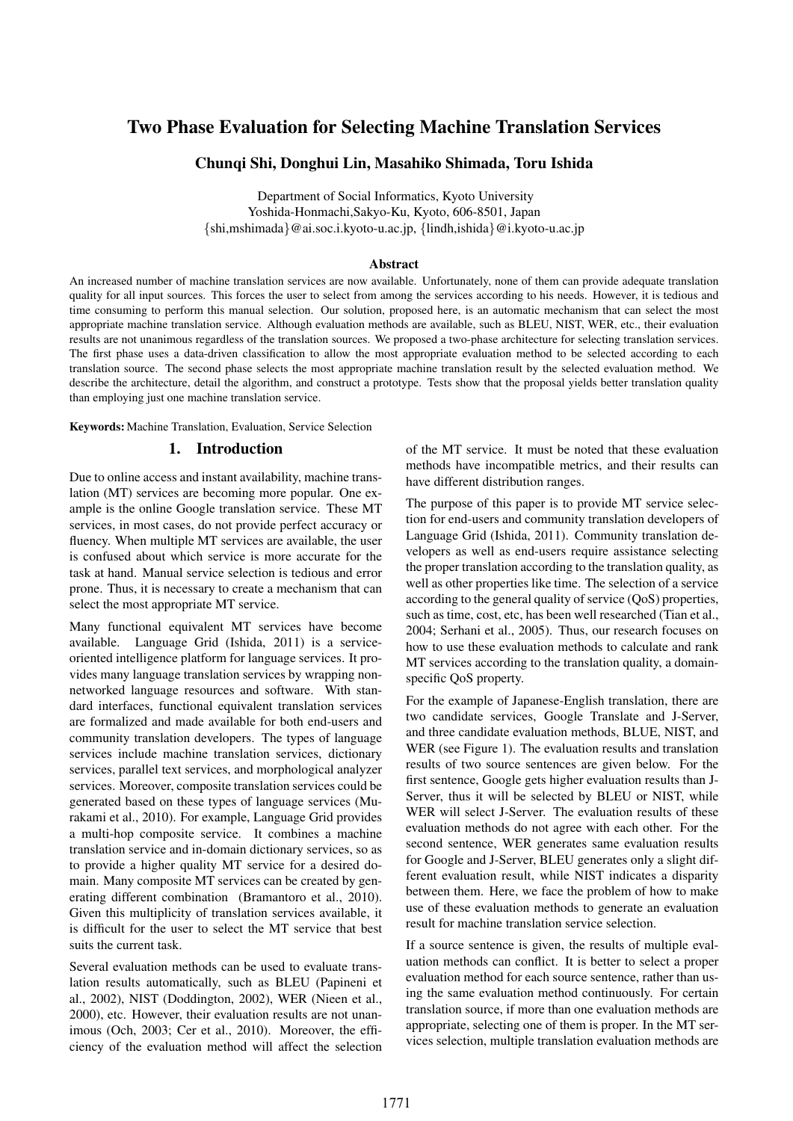# Two Phase Evaluation for Selecting Machine Translation Services

## Chunqi Shi, Donghui Lin, Masahiko Shimada, Toru Ishida

Department of Social Informatics, Kyoto University Yoshida-Honmachi,Sakyo-Ku, Kyoto, 606-8501, Japan  ${shi,mshimada}$  @ai.soc.i.kyoto-u.ac.jp,  ${lindh,ishida}$  @i.kyoto-u.ac.jp

#### Abstract

An increased number of machine translation services are now available. Unfortunately, none of them can provide adequate translation quality for all input sources. This forces the user to select from among the services according to his needs. However, it is tedious and time consuming to perform this manual selection. Our solution, proposed here, is an automatic mechanism that can select the most appropriate machine translation service. Although evaluation methods are available, such as BLEU, NIST, WER, etc., their evaluation results are not unanimous regardless of the translation sources. We proposed a two-phase architecture for selecting translation services. The first phase uses a data-driven classification to allow the most appropriate evaluation method to be selected according to each translation source. The second phase selects the most appropriate machine translation result by the selected evaluation method. We describe the architecture, detail the algorithm, and construct a prototype. Tests show that the proposal yields better translation quality than employing just one machine translation service.

Keywords: Machine Translation, Evaluation, Service Selection

## 1. Introduction

Due to online access and instant availability, machine translation (MT) services are becoming more popular. One example is the online Google translation service. These MT services, in most cases, do not provide perfect accuracy or fluency. When multiple MT services are available, the user is confused about which service is more accurate for the task at hand. Manual service selection is tedious and error prone. Thus, it is necessary to create a mechanism that can select the most appropriate MT service.

Many functional equivalent MT services have become available. Language Grid (Ishida, 2011) is a serviceoriented intelligence platform for language services. It provides many language translation services by wrapping nonnetworked language resources and software. With standard interfaces, functional equivalent translation services are formalized and made available for both end-users and community translation developers. The types of language services include machine translation services, dictionary services, parallel text services, and morphological analyzer services. Moreover, composite translation services could be generated based on these types of language services (Murakami et al., 2010). For example, Language Grid provides a multi-hop composite service. It combines a machine translation service and in-domain dictionary services, so as to provide a higher quality MT service for a desired domain. Many composite MT services can be created by generating different combination (Bramantoro et al., 2010). Given this multiplicity of translation services available, it is difficult for the user to select the MT service that best suits the current task.

Several evaluation methods can be used to evaluate translation results automatically, such as BLEU (Papineni et al., 2002), NIST (Doddington, 2002), WER (Nieen et al., 2000), etc. However, their evaluation results are not unanimous (Och, 2003; Cer et al., 2010). Moreover, the efficiency of the evaluation method will affect the selection of the MT service. It must be noted that these evaluation methods have incompatible metrics, and their results can have different distribution ranges.

The purpose of this paper is to provide MT service selection for end-users and community translation developers of Language Grid (Ishida, 2011). Community translation developers as well as end-users require assistance selecting the proper translation according to the translation quality, as well as other properties like time. The selection of a service according to the general quality of service (QoS) properties, such as time, cost, etc, has been well researched (Tian et al., 2004; Serhani et al., 2005). Thus, our research focuses on how to use these evaluation methods to calculate and rank MT services according to the translation quality, a domainspecific QoS property.

For the example of Japanese-English translation, there are two candidate services, Google Translate and J-Server, and three candidate evaluation methods, BLUE, NIST, and WER (see Figure 1). The evaluation results and translation results of two source sentences are given below. For the first sentence, Google gets higher evaluation results than J-Server, thus it will be selected by BLEU or NIST, while WER will select J-Server. The evaluation results of these evaluation methods do not agree with each other. For the second sentence, WER generates same evaluation results for Google and J-Server, BLEU generates only a slight different evaluation result, while NIST indicates a disparity between them. Here, we face the problem of how to make use of these evaluation methods to generate an evaluation result for machine translation service selection.

If a source sentence is given, the results of multiple evaluation methods can conflict. It is better to select a proper evaluation method for each source sentence, rather than using the same evaluation method continuously. For certain translation source, if more than one evaluation methods are appropriate, selecting one of them is proper. In the MT services selection, multiple translation evaluation methods are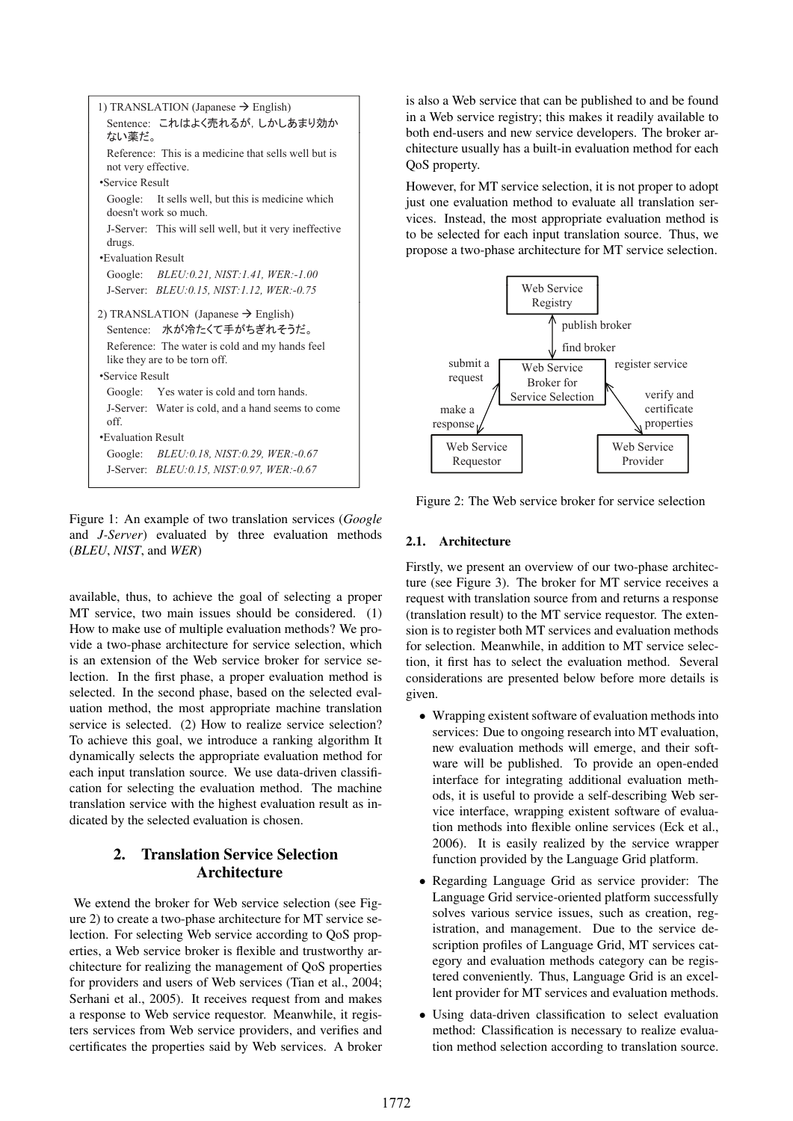

Figure 1: An example of two translation services (*Google* and *J-Server*) evaluated by three evaluation methods (*BLEU*, *NIST*, and *WER*)

available, thus, to achieve the goal of selecting a proper MT service, two main issues should be considered. (1) How to make use of multiple evaluation methods? We provide a two-phase architecture for service selection, which is an extension of the Web service broker for service selection. In the first phase, a proper evaluation method is selected. In the second phase, based on the selected evaluation method, the most appropriate machine translation service is selected. (2) How to realize service selection? To achieve this goal, we introduce a ranking algorithm It dynamically selects the appropriate evaluation method for each input translation source. We use data-driven classification for selecting the evaluation method. The machine translation service with the highest evaluation result as indicated by the selected evaluation is chosen.

## 2. Translation Service Selection Architecture

We extend the broker for Web service selection (see Figure 2) to create a two-phase architecture for MT service selection. For selecting Web service according to QoS properties, a Web service broker is flexible and trustworthy architecture for realizing the management of QoS properties for providers and users of Web services (Tian et al., 2004; Serhani et al., 2005). It receives request from and makes a response to Web service requestor. Meanwhile, it registers services from Web service providers, and verifies and certificates the properties said by Web services. A broker is also a Web service that can be published to and be found in a Web service registry; this makes it readily available to both end-users and new service developers. The broker architecture usually has a built-in evaluation method for each QoS property.

However, for MT service selection, it is not proper to adopt just one evaluation method to evaluate all translation services. Instead, the most appropriate evaluation method is to be selected for each input translation source. Thus, we propose a two-phase architecture for MT service selection.



Figure 2: The Web service broker for service selection

#### 2.1. Architecture

Firstly, we present an overview of our two-phase architecture (see Figure 3). The broker for MT service receives a request with translation source from and returns a response (translation result) to the MT service requestor. The extension is to register both MT services and evaluation methods for selection. Meanwhile, in addition to MT service selection, it first has to select the evaluation method. Several considerations are presented below before more details is given.

- Wrapping existent software of evaluation methods into services: Due to ongoing research into MT evaluation, new evaluation methods will emerge, and their software will be published. To provide an open-ended interface for integrating additional evaluation methods, it is useful to provide a self-describing Web service interface, wrapping existent software of evaluation methods into flexible online services (Eck et al., 2006). It is easily realized by the service wrapper function provided by the Language Grid platform.
- Regarding Language Grid as service provider: The Language Grid service-oriented platform successfully solves various service issues, such as creation, registration, and management. Due to the service description profiles of Language Grid, MT services category and evaluation methods category can be registered conveniently. Thus, Language Grid is an excellent provider for MT services and evaluation methods.
- Using data-driven classification to select evaluation method: Classification is necessary to realize evaluation method selection according to translation source.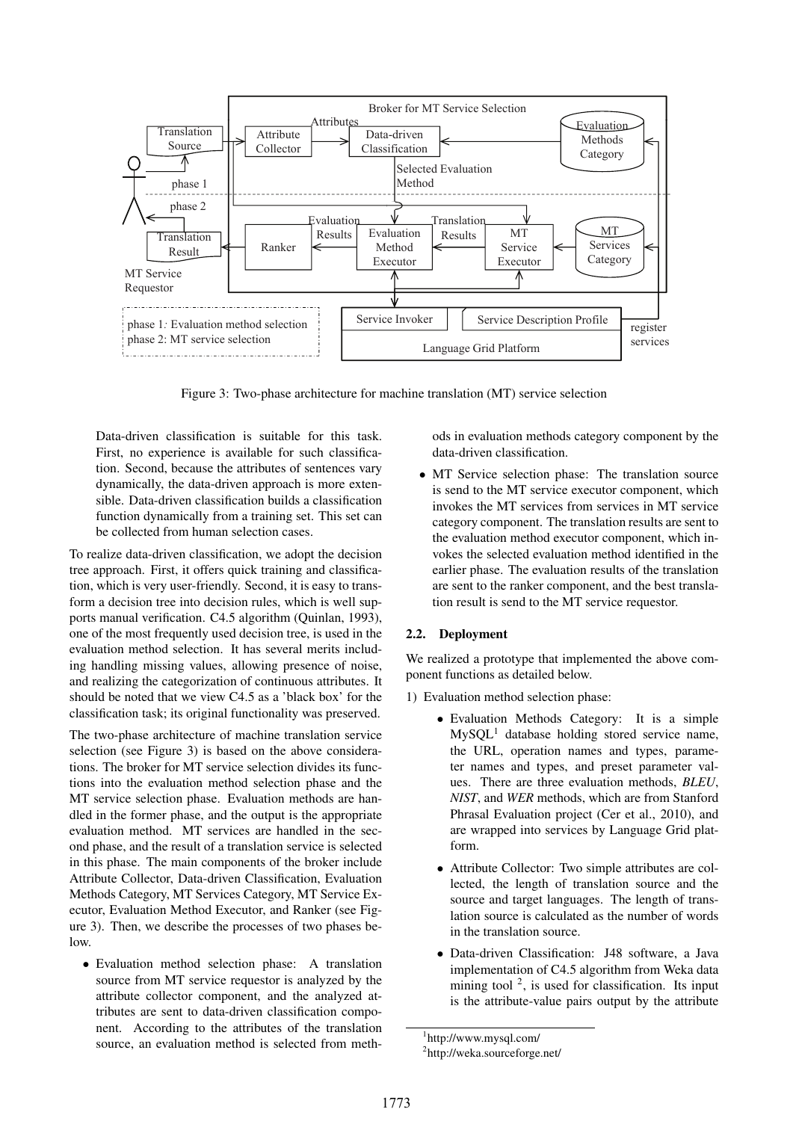

Figure 3: Two-phase architecture for machine translation (MT) service selection

Data-driven classification is suitable for this task. First, no experience is available for such classification. Second, because the attributes of sentences vary dynamically, the data-driven approach is more extensible. Data-driven classification builds a classification function dynamically from a training set. This set can be collected from human selection cases.

To realize data-driven classification, we adopt the decision tree approach. First, it offers quick training and classification, which is very user-friendly. Second, it is easy to transform a decision tree into decision rules, which is well supports manual verification. C4.5 algorithm (Quinlan, 1993), one of the most frequently used decision tree, is used in the evaluation method selection. It has several merits including handling missing values, allowing presence of noise, and realizing the categorization of continuous attributes. It should be noted that we view C4.5 as a 'black box' for the classification task; its original functionality was preserved.

The two-phase architecture of machine translation service selection (see Figure 3) is based on the above considerations. The broker for MT service selection divides its functions into the evaluation method selection phase and the MT service selection phase. Evaluation methods are handled in the former phase, and the output is the appropriate evaluation method. MT services are handled in the second phase, and the result of a translation service is selected in this phase. The main components of the broker include Attribute Collector, Data-driven Classification, Evaluation Methods Category, MT Services Category, MT Service Executor, Evaluation Method Executor, and Ranker (see Figure 3). Then, we describe the processes of two phases below.

• Evaluation method selection phase: A translation source from MT service requestor is analyzed by the attribute collector component, and the analyzed attributes are sent to data-driven classification component. According to the attributes of the translation source, an evaluation method is selected from methods in evaluation methods category component by the data-driven classification.

• MT Service selection phase: The translation source is send to the MT service executor component, which invokes the MT services from services in MT service category component. The translation results are sent to the evaluation method executor component, which invokes the selected evaluation method identified in the earlier phase. The evaluation results of the translation are sent to the ranker component, and the best translation result is send to the MT service requestor.

## 2.2. Deployment

We realized a prototype that implemented the above component functions as detailed below.

- 1) Evaluation method selection phase:
	- Evaluation Methods Category: It is a simple  $MySQL<sup>1</sup>$  database holding stored service name, the URL, operation names and types, parameter names and types, and preset parameter values. There are three evaluation methods, *BLEU*, *NIST*, and *WER* methods, which are from Stanford Phrasal Evaluation project (Cer et al., 2010), and are wrapped into services by Language Grid platform.
	- Attribute Collector: Two simple attributes are collected, the length of translation source and the source and target languages. The length of translation source is calculated as the number of words in the translation source.
	- Data-driven Classification: J48 software, a Java implementation of C4.5 algorithm from Weka data mining tool<sup>2</sup>, is used for classification. Its input is the attribute-value pairs output by the attribute

<sup>1</sup> http://www.mysql.com/

<sup>&</sup>lt;sup>2</sup>http://weka.sourceforge.net/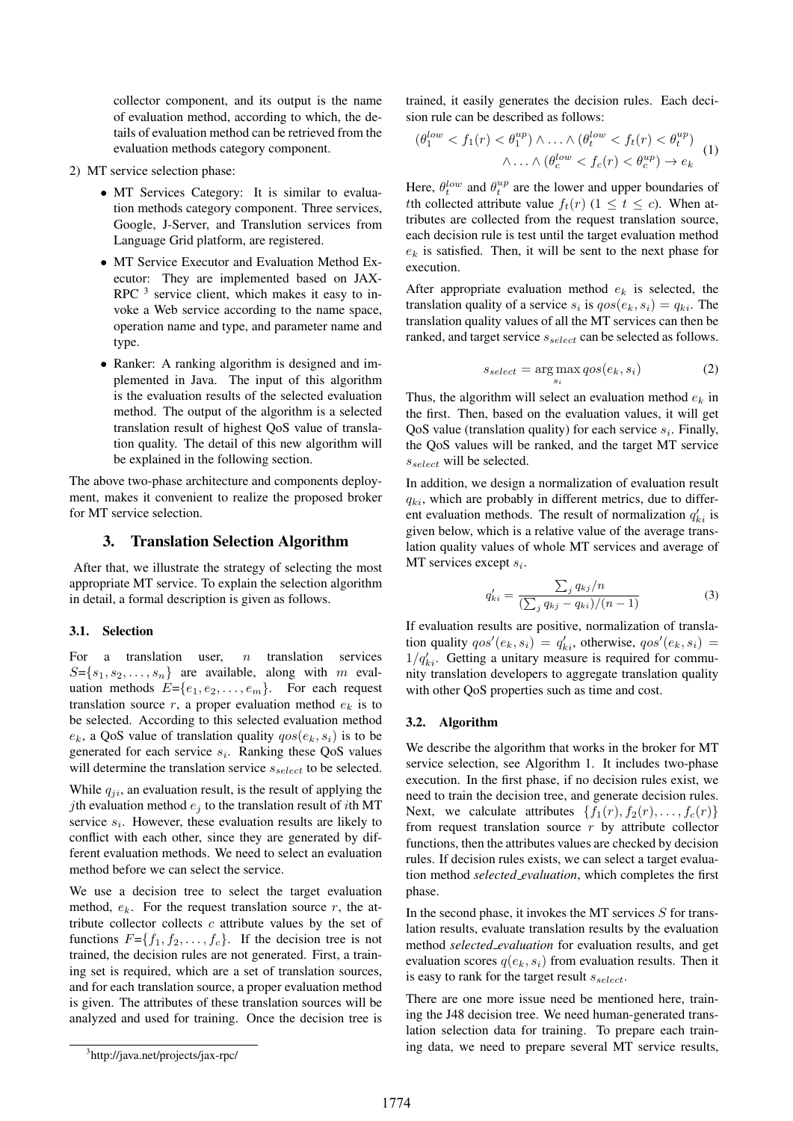collector component, and its output is the name of evaluation method, according to which, the details of evaluation method can be retrieved from the evaluation methods category component.

- 2) MT service selection phase:
	- MT Services Category: It is similar to evaluation methods category component. Three services, Google, J-Server, and Translution services from Language Grid platform, are registered.
	- MT Service Executor and Evaluation Method Executor: They are implemented based on JAX-RPC  $3$  service client, which makes it easy to invoke a Web service according to the name space, operation name and type, and parameter name and type.
	- Ranker: A ranking algorithm is designed and implemented in Java. The input of this algorithm is the evaluation results of the selected evaluation method. The output of the algorithm is a selected translation result of highest QoS value of translation quality. The detail of this new algorithm will be explained in the following section.

The above two-phase architecture and components deployment, makes it convenient to realize the proposed broker for MT service selection.

## 3. Translation Selection Algorithm

After that, we illustrate the strategy of selecting the most appropriate MT service. To explain the selection algorithm in detail, a formal description is given as follows.

## 3.1. Selection

For a translation user,  $n$  translation services  $S = \{s_1, s_2, \ldots, s_n\}$  are available, along with m evaluation methods  $E = \{e_1, e_2, \dots, e_m\}$ . For each request translation source  $r$ , a proper evaluation method  $e_k$  is to be selected. According to this selected evaluation method  $e_k$ , a QoS value of translation quality  $qos(e_k, s_i)$  is to be generated for each service  $s_i$ . Ranking these QoS values will determine the translation service  $s_{select}$  to be selected.

While  $q_{ji}$ , an evaluation result, is the result of applying the jth evaluation method  $e_i$  to the translation result of *i*th MT service  $s_i$ . However, these evaluation results are likely to conflict with each other, since they are generated by different evaluation methods. We need to select an evaluation method before we can select the service.

We use a decision tree to select the target evaluation method,  $e_k$ . For the request translation source r, the attribute collector collects  $c$  attribute values by the set of functions  $F = \{f_1, f_2, \ldots, f_c\}$ . If the decision tree is not trained, the decision rules are not generated. First, a training set is required, which are a set of translation sources, and for each translation source, a proper evaluation method is given. The attributes of these translation sources will be analyzed and used for training. Once the decision tree is

trained, it easily generates the decision rules. Each decision rule can be described as follows:

$$
(\theta_1^{low} < f_1(r) < \theta_1^{up}) \land \ldots \land (\theta_t^{low} < f_t(r) < \theta_t^{up})
$$
\n
$$
\land \ldots \land (\theta_c^{low} < f_c(r) < \theta_c^{up}) \to e_k
$$
\n<sup>(1)</sup>

Here,  $\theta_t^{low}$  and  $\theta_t^{up}$  are the lower and upper boundaries of tth collected attribute value  $f_t(r)$  ( $1 \le t \le c$ ). When attributes are collected from the request translation source, each decision rule is test until the target evaluation method  $e_k$  is satisfied. Then, it will be sent to the next phase for execution.

After appropriate evaluation method  $e_k$  is selected, the translation quality of a service  $s_i$  is  $qos(e_k, s_i) = q_{ki}$ . The translation quality values of all the MT services can then be ranked, and target service  $s_{select}$  can be selected as follows.

$$
s_{select} = \arg\max_{s_i} qos(e_k, s_i)
$$
 (2)

Thus, the algorithm will select an evaluation method  $e_k$  in the first. Then, based on the evaluation values, it will get QoS value (translation quality) for each service  $s_i$ . Finally, the QoS values will be ranked, and the target MT service  $s_{select}$  will be selected.

In addition, we design a normalization of evaluation result  $q_{ki}$ , which are probably in different metrics, due to different evaluation methods. The result of normalization  $q'_{ki}$  is given below, which is a relative value of the average translation quality values of whole MT services and average of MT services except  $s_i$ .

$$
q'_{ki} = \frac{\sum_{j} q_{kj}/n}{(\sum_{j} q_{kj} - q_{ki})/(n-1)}
$$
(3)

If evaluation results are positive, normalization of translation quality  $qos'(e_k, s_i) = q'_{ki}$ , otherwise,  $qos'(e_k, s_i) =$  $1/q'_{ki}$ . Getting a unitary measure is required for community translation developers to aggregate translation quality with other QoS properties such as time and cost.

#### 3.2. Algorithm

We describe the algorithm that works in the broker for MT service selection, see Algorithm 1. It includes two-phase execution. In the first phase, if no decision rules exist, we need to train the decision tree, and generate decision rules. Next, we calculate attributes  $\{f_1(r), f_2(r), \ldots, f_c(r)\}\$ from request translation source  $r$  by attribute collector functions, then the attributes values are checked by decision rules. If decision rules exists, we can select a target evaluation method *selected evaluation*, which completes the first phase.

In the second phase, it invokes the MT services  $S$  for translation results, evaluate translation results by the evaluation method *selected evaluation* for evaluation results, and get evaluation scores  $q(e_k, s_i)$  from evaluation results. Then it is easy to rank for the target result  $s_{select}$ .

There are one more issue need be mentioned here, training the J48 decision tree. We need human-generated translation selection data for training. To prepare each training data, we need to prepare several MT service results,

<sup>3</sup> http://java.net/projects/jax-rpc/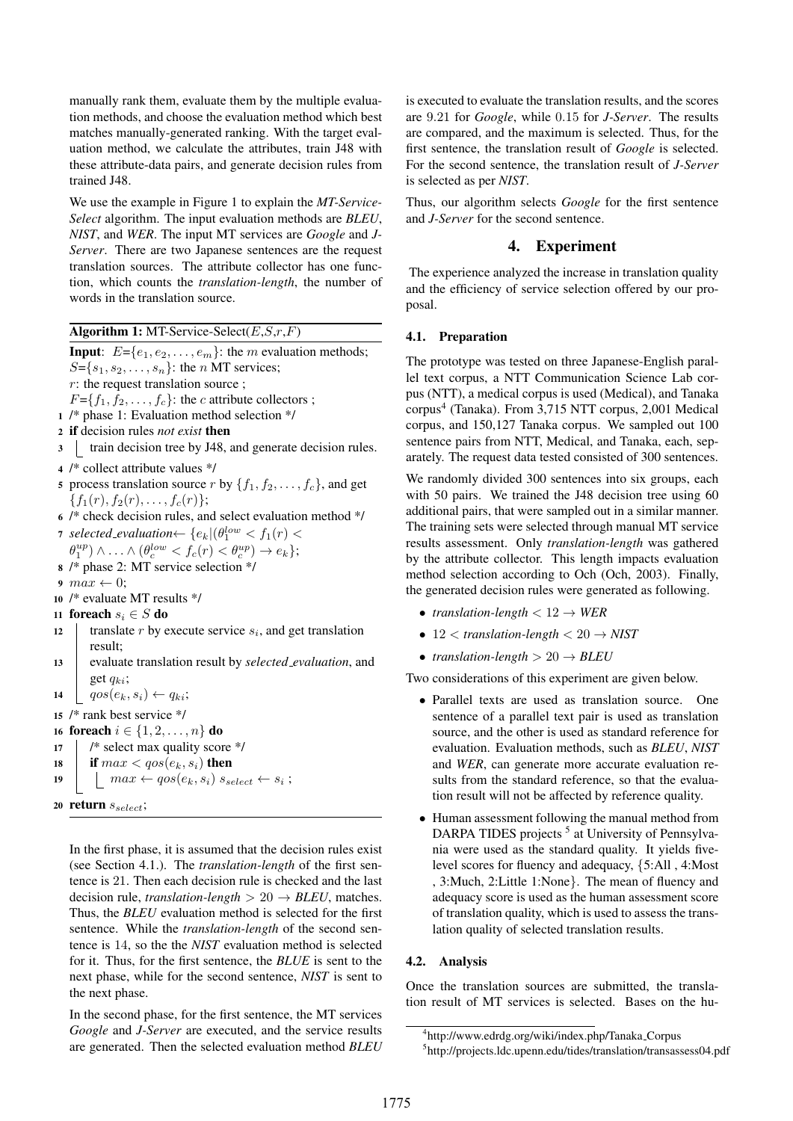manually rank them, evaluate them by the multiple evaluation methods, and choose the evaluation method which best matches manually-generated ranking. With the target evaluation method, we calculate the attributes, train J48 with these attribute-data pairs, and generate decision rules from trained J48.

We use the example in Figure 1 to explain the *MT-Service-Select* algorithm. The input evaluation methods are *BLEU*, *NIST*, and *WER*. The input MT services are *Google* and *J-Server*. There are two Japanese sentences are the request translation sources. The attribute collector has one function, which counts the *translation-length*, the number of words in the translation source.

Algorithm 1: MT-Service-Select( $E, S, r, F$ )

**Input:**  $E = \{e_1, e_2, \ldots, e_m\}$ : the *m* evaluation methods;  $S = \{s_1, s_2, \ldots, s_n\}$ : the *n* MT services; r: the request translation source ;

 $F = \{f_1, f_2, \ldots, f_c\}$ : the *c* attribute collectors ;

- 1 /\* phase 1: Evaluation method selection \*/
- <sup>2</sup> if decision rules *not exist* then
- 3 Train decision tree by J48, and generate decision rules.
- <sup>4</sup> /\* collect attribute values \*/
- 5 process translation source r by  $\{f_1, f_2, \ldots, f_c\}$ , and get  ${f_1(r), f_2(r), \ldots, f_c(r)};$
- <sup>6</sup> /\* check decision rules, and select evaluation method \*/
- 7 selected\_evaluation $\leftarrow {\{e_k | (\theta_1^{low} < f_1(r) < \theta_2^{low} \} \}}$  $\theta_1^{up}$ )  $\wedge \ldots \wedge (\theta_c^{low} < f_c(r) < \theta_c^{up}) \rightarrow e_k$ };
- <sup>8</sup> /\* phase 2: MT service selection \*/

9  $max \leftarrow 0$ ;

- <sup>10</sup> /\* evaluate MT results \*/
- 11 foreach  $s_i \in S$  do
- 12 | translate r by execute service  $s_i$ , and get translation result;
- <sup>13</sup> evaluate translation result by *selected evaluation*, and get  $q_{ki}$ ;
- 14  $\vert \quad qos(e_k, s_i) \leftarrow q_{ki};$
- <sup>15</sup> /\* rank best service \*/

16 **foreach**  $i \in \{1, 2, ..., n\}$  **do** 

- <sup>17</sup> /\* select max quality score \*/
- 18 if  $max < qos(e_k, s_i)$  then
- 19 |  $max \leftarrow qos(e_k, s_i) s_{select} \leftarrow s_i;$

```
20 return s_{select};
```
In the first phase, it is assumed that the decision rules exist (see Section 4.1.). The *translation-length* of the first sentence is 21. Then each decision rule is checked and the last decision rule, *translation-length*  $> 20 \rightarrow BLEU$ , matches. Thus, the *BLEU* evaluation method is selected for the first sentence. While the *translation-length* of the second sentence is 14, so the the *NIST* evaluation method is selected for it. Thus, for the first sentence, the *BLUE* is sent to the next phase, while for the second sentence, *NIST* is sent to the next phase.

In the second phase, for the first sentence, the MT services *Google* and *J-Server* are executed, and the service results are generated. Then the selected evaluation method *BLEU*

is executed to evaluate the translation results, and the scores are 9.21 for *Google*, while 0.15 for *J-Server*. The results are compared, and the maximum is selected. Thus, for the first sentence, the translation result of *Google* is selected. For the second sentence, the translation result of *J-Server* is selected as per *NIST*.

Thus, our algorithm selects *Google* for the first sentence and *J-Server* for the second sentence.

## 4. Experiment

The experience analyzed the increase in translation quality and the efficiency of service selection offered by our proposal.

#### 4.1. Preparation

The prototype was tested on three Japanese-English parallel text corpus, a NTT Communication Science Lab corpus (NTT), a medical corpus is used (Medical), and Tanaka corpus<sup>4</sup> (Tanaka). From 3,715 NTT corpus, 2,001 Medical corpus, and 150,127 Tanaka corpus. We sampled out 100 sentence pairs from NTT, Medical, and Tanaka, each, separately. The request data tested consisted of 300 sentences.

We randomly divided 300 sentences into six groups, each with 50 pairs. We trained the J48 decision tree using 60 additional pairs, that were sampled out in a similar manner. The training sets were selected through manual MT service results assessment. Only *translation-length* was gathered by the attribute collector. This length impacts evaluation method selection according to Och (Och, 2003). Finally, the generated decision rules were generated as following.

- *translation-length*  $< 12 \rightarrow WER$
- $\bullet$  12  $\lt$  *translation-length*  $\lt$  20  $\to NIST$
- *translation-length*  $> 20 \rightarrow BLEU$

Two considerations of this experiment are given below.

- Parallel texts are used as translation source. One sentence of a parallel text pair is used as translation source, and the other is used as standard reference for evaluation. Evaluation methods, such as *BLEU*, *NIST* and *WER*, can generate more accurate evaluation results from the standard reference, so that the evaluation result will not be affected by reference quality.
- Human assessment following the manual method from DARPA TIDES projects<sup>5</sup> at University of Pennsylvania were used as the standard quality. It yields fivelevel scores for fluency and adequacy, {5:All , 4:Most , 3:Much, 2:Little 1:None}. The mean of fluency and adequacy score is used as the human assessment score of translation quality, which is used to assess the translation quality of selected translation results.

#### 4.2. Analysis

Once the translation sources are submitted, the translation result of MT services is selected. Bases on the hu-

<sup>4</sup> http://www.edrdg.org/wiki/index.php/Tanaka Corpus

<sup>5</sup> http://projects.ldc.upenn.edu/tides/translation/transassess04.pdf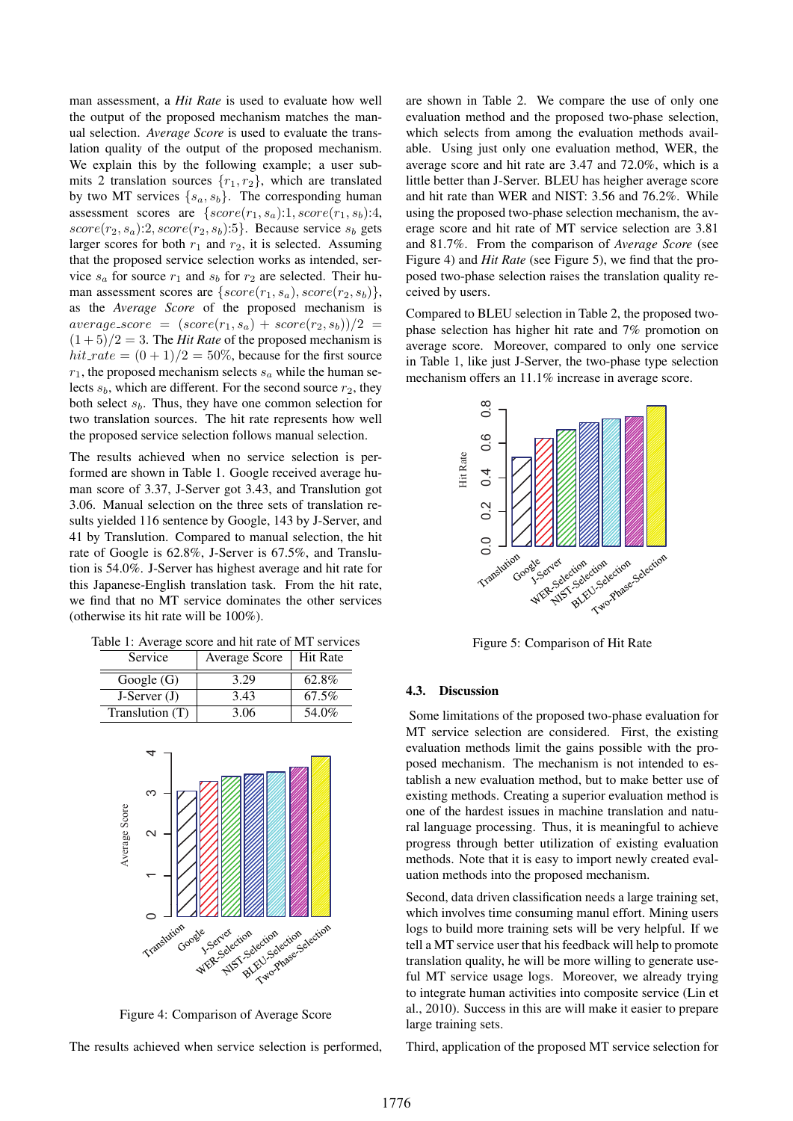man assessment, a *Hit Rate* is used to evaluate how well the output of the proposed mechanism matches the manual selection. *Average Score* is used to evaluate the translation quality of the output of the proposed mechanism. We explain this by the following example; a user submits 2 translation sources  $\{r_1, r_2\}$ , which are translated by two MT services  $\{s_a, s_b\}$ . The corresponding human assessment scores are  $\{score(r_1, s_a):1, score(r_1, s_b):4,$  $score(r_2, s_a):2, score(r_2, s_b):5\}.$  Because service  $s_b$  gets larger scores for both  $r_1$  and  $r_2$ , it is selected. Assuming that the proposed service selection works as intended, service  $s_a$  for source  $r_1$  and  $s_b$  for  $r_2$  are selected. Their human assessment scores are  $\{score(r_1, s_a), score(r_2, s_b)\},\$ as the *Average Score* of the proposed mechanism is  $average\_score = (score(r_1, s_a) + score(r_2, s_b))/2 =$  $(1+5)/2 = 3$ . The *Hit Rate* of the proposed mechanism is  $hit_rate = (0 + 1)/2 = 50\%$ , because for the first source  $r_1$ , the proposed mechanism selects  $s_a$  while the human selects  $s_b$ , which are different. For the second source  $r_2$ , they both select  $s<sub>b</sub>$ . Thus, they have one common selection for two translation sources. The hit rate represents how well the proposed service selection follows manual selection.

The results achieved when no service selection is performed are shown in Table 1. Google received average human score of 3.37, J-Server got 3.43, and Translution got 3.06. Manual selection on the three sets of translation results yielded 116 sentence by Google, 143 by J-Server, and 41 by Translution. Compared to manual selection, the hit rate of Google is 62.8%, J-Server is 67.5%, and Translution is 54.0%. J-Server has highest average and hit rate for this Japanese-English translation task. From the hit rate, we find that no MT service dominates the other services (otherwise its hit rate will be 100%).

| Table 1: Average score and hit rate of MT services |  |
|----------------------------------------------------|--|
|----------------------------------------------------|--|

| <b>Service</b>  | Average Score | <b>Hit Rate</b> |
|-----------------|---------------|-----------------|
| Google $(G)$    | 3.29          | 62.8%           |
| $J-Server (J)$  | 3.43          | 67.5%           |
| Translution (T) | 3.06          | 54.0%           |



Figure 4: Comparison of Average Score

The results achieved when service selection is performed,

are shown in Table 2. We compare the use of only one evaluation method and the proposed two-phase selection, which selects from among the evaluation methods available. Using just only one evaluation method, WER, the average score and hit rate are 3.47 and 72.0%, which is a little better than J-Server. BLEU has heigher average score and hit rate than WER and NIST: 3.56 and 76.2%. While using the proposed two-phase selection mechanism, the average score and hit rate of MT service selection are 3.81 and 81.7%. From the comparison of *Average Score* (see Figure 4) and *Hit Rate* (see Figure 5), we find that the proposed two-phase selection raises the translation quality received by users.

Compared to BLEU selection in Table 2, the proposed twophase selection has higher hit rate and 7% promotion on average score. Moreover, compared to only one service in Table 1, like just J-Server, the two-phase type selection mechanism offers an 11.1% increase in average score.



Figure 5: Comparison of Hit Rate

#### 4.3. Discussion

Some limitations of the proposed two-phase evaluation for MT service selection are considered. First, the existing evaluation methods limit the gains possible with the proposed mechanism. The mechanism is not intended to establish a new evaluation method, but to make better use of existing methods. Creating a superior evaluation method is one of the hardest issues in machine translation and natural language processing. Thus, it is meaningful to achieve progress through better utilization of existing evaluation methods. Note that it is easy to import newly created evaluation methods into the proposed mechanism.

Second, data driven classification needs a large training set, which involves time consuming manul effort. Mining users logs to build more training sets will be very helpful. If we tell a MT service user that his feedback will help to promote translation quality, he will be more willing to generate useful MT service usage logs. Moreover, we already trying to integrate human activities into composite service (Lin et al., 2010). Success in this are will make it easier to prepare large training sets.

Third, application of the proposed MT service selection for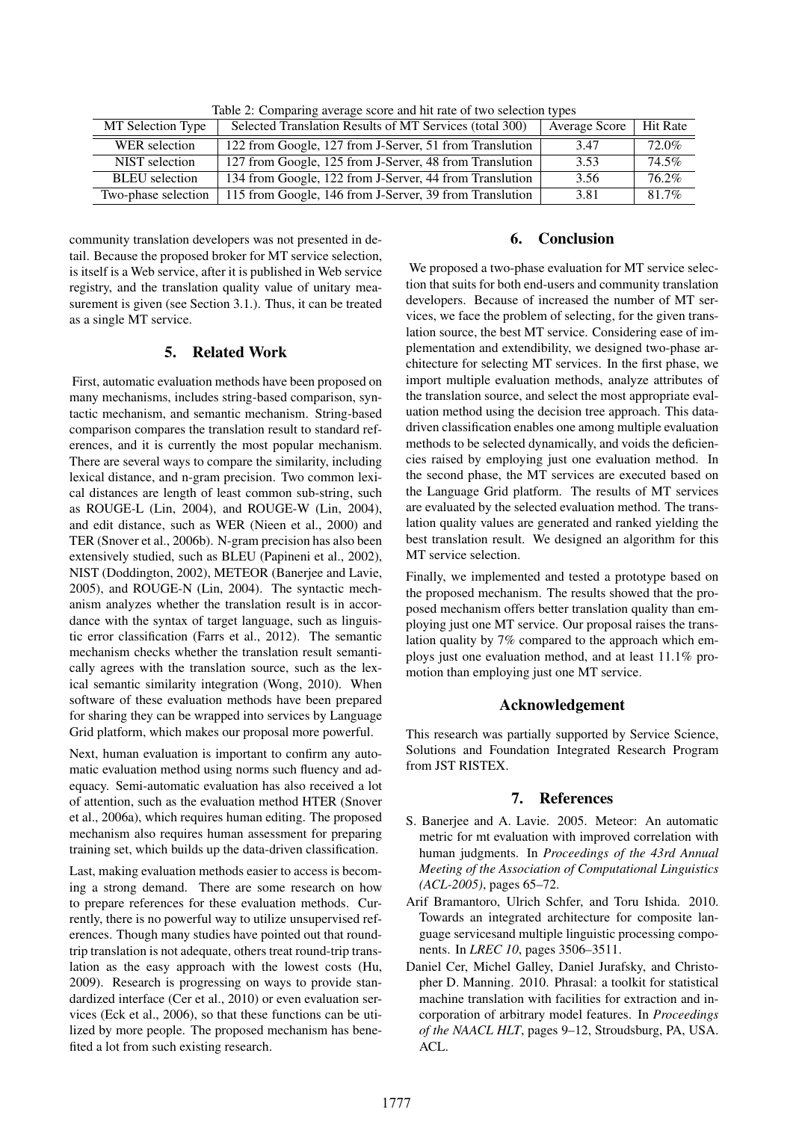| MT Selection Type     | Selected Translation Results of MT Services (total 300) | Average Score | <b>Hit Rate</b> |
|-----------------------|---------------------------------------------------------|---------------|-----------------|
| WER selection         | 122 from Google, 127 from J-Server, 51 from Translution | 3.47          | $72.0\%$        |
| NIST selection        | 127 from Google, 125 from J-Server, 48 from Translution | 3.53          | 74.5%           |
| <b>BLEU</b> selection | 134 from Google, 122 from J-Server, 44 from Translution | 3.56          | 76.2%           |
| Two-phase selection   | 115 from Google, 146 from J-Server, 39 from Translution | 3.81          | 81.7%           |

Table 2: Comparing average score and hit rate of two selection types

community translation developers was not presented in detail. Because the proposed broker for MT service selection, is itself is a Web service, after it is published in Web service registry, and the translation quality value of unitary measurement is given (see Section 3.1.). Thus, it can be treated as a single MT service.

## 5. Related Work

First, automatic evaluation methods have been proposed on many mechanisms, includes string-based comparison, syntactic mechanism, and semantic mechanism. String-based comparison compares the translation result to standard references, and it is currently the most popular mechanism. There are several ways to compare the similarity, including lexical distance, and n-gram precision. Two common lexical distances are length of least common sub-string, such as ROUGE-L (Lin, 2004), and ROUGE-W (Lin, 2004), and edit distance, such as WER (Nieen et al., 2000) and TER (Snover et al., 2006b). N-gram precision has also been extensively studied, such as BLEU (Papineni et al., 2002), NIST (Doddington, 2002), METEOR (Banerjee and Lavie, 2005), and ROUGE-N (Lin, 2004). The syntactic mechanism analyzes whether the translation result is in accordance with the syntax of target language, such as linguistic error classification (Farrs et al., 2012). The semantic mechanism checks whether the translation result semantically agrees with the translation source, such as the lexical semantic similarity integration (Wong, 2010). When software of these evaluation methods have been prepared for sharing they can be wrapped into services by Language Grid platform, which makes our proposal more powerful.

Next, human evaluation is important to confirm any automatic evaluation method using norms such fluency and adequacy. Semi-automatic evaluation has also received a lot of attention, such as the evaluation method HTER (Snover et al., 2006a), which requires human editing. The proposed mechanism also requires human assessment for preparing training set, which builds up the data-driven classification.

Last, making evaluation methods easier to access is becoming a strong demand. There are some research on how to prepare references for these evaluation methods. Currently, there is no powerful way to utilize unsupervised references. Though many studies have pointed out that roundtrip translation is not adequate, others treat round-trip translation as the easy approach with the lowest costs (Hu, 2009). Research is progressing on ways to provide standardized interface (Cer et al., 2010) or even evaluation services (Eck et al., 2006), so that these functions can be utilized by more people. The proposed mechanism has benefited a lot from such existing research.

## 6. Conclusion

We proposed a two-phase evaluation for MT service selection that suits for both end-users and community translation developers. Because of increased the number of MT services, we face the problem of selecting, for the given translation source, the best MT service. Considering ease of implementation and extendibility, we designed two-phase architecture for selecting MT services. In the first phase, we import multiple evaluation methods, analyze attributes of the translation source, and select the most appropriate evaluation method using the decision tree approach. This datadriven classification enables one among multiple evaluation methods to be selected dynamically, and voids the deficiencies raised by employing just one evaluation method. In the second phase, the MT services are executed based on the Language Grid platform. The results of MT services are evaluated by the selected evaluation method. The translation quality values are generated and ranked yielding the best translation result. We designed an algorithm for this MT service selection.

Finally, we implemented and tested a prototype based on the proposed mechanism. The results showed that the proposed mechanism offers better translation quality than employing just one MT service. Our proposal raises the translation quality by 7% compared to the approach which employs just one evaluation method, and at least 11.1% promotion than employing just one MT service.

## Acknowledgement

This research was partially supported by Service Science, Solutions and Foundation Integrated Research Program from JST RISTEX.

## 7. References

- S. Banerjee and A. Lavie. 2005. Meteor: An automatic metric for mt evaluation with improved correlation with human judgments. In *Proceedings of the 43rd Annual Meeting of the Association of Computational Linguistics (ACL-2005)*, pages 65–72.
- Arif Bramantoro, Ulrich Schfer, and Toru Ishida. 2010. Towards an integrated architecture for composite language servicesand multiple linguistic processing components. In *LREC 10*, pages 3506–3511.
- Daniel Cer, Michel Galley, Daniel Jurafsky, and Christopher D. Manning. 2010. Phrasal: a toolkit for statistical machine translation with facilities for extraction and incorporation of arbitrary model features. In *Proceedings of the NAACL HLT*, pages 9–12, Stroudsburg, PA, USA. ACL.